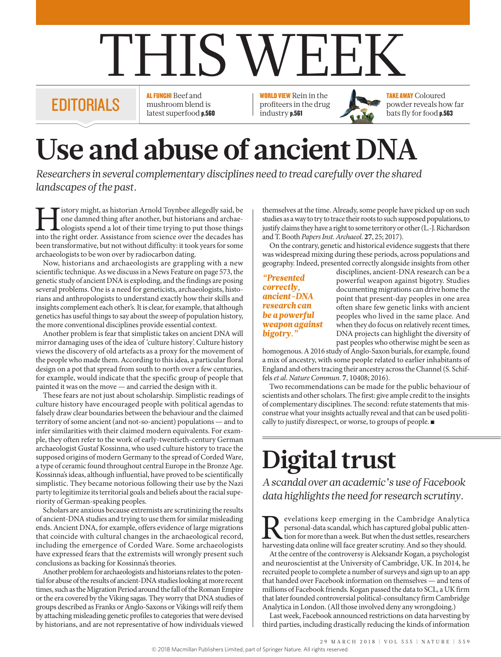# THIS WEEK

#### EDITORIALS

AL FUNGHI Beef and mushroom blend is latest superfood p.560

WORLD VIEW Rein in the profiteers in the drug industry p.561

**TAKE AWAY Coloured** powder reveals how far bats fly for food p.563

## **Use and abuse of ancient DNA**

*Researchers in several complementary disciplines need to tread carefully over the shared landscapes of the past.* 

If istory might, as historian Arnold Toynbee allegedly said, be<br>one damned thing after another, but historians and archae-<br>ologists spend a lot of their time trying to put those things<br>into the right order. Assistance from one damned thing after another, but historians and archaeologists spend a lot of their time trying to put those things into the right order. Assistance from science over the decades has been transformative, but not without difficulty: it took years for some archaeologists to be won over by radiocarbon dating.

Now, historians and archaeologists are grappling with a new scientific technique. As we discuss in a News Feature on page 573, the genetic study of ancient DNA is exploding, and the findings are posing several problems. One is a need for geneticists, archaeologists, historians and anthropologists to understand exactly how their skills and insights complement each other's. It is clear, for example, that although genetics has useful things to say about the sweep of population history, the more conventional disciplines provide essential context.

Another problem is fear that simplistic takes on ancient DNA will mirror damaging uses of the idea of 'culture history'. Culture history views the discovery of old artefacts as a proxy for the movement of the people who made them. According to this idea, a particular floral design on a pot that spread from south to north over a few centuries, for example, would indicate that the specific group of people that painted it was on the move — and carried the design with it.

These fears are not just about scholarship. Simplistic readings of culture history have encouraged people with political agendas to falsely draw clear boundaries between the behaviour and the claimed territory of some ancient (and not-so-ancient) populations — and to infer similarities with their claimed modern equivalents. For example, they often refer to the work of early-twentieth-century German archaeologist Gustaf Kossinna, who used culture history to trace the supposed origins of modern Germany to the spread of Corded Ware, a type of ceramic found throughout central Europe in the Bronze Age. Kossinna's ideas, although influential, have proved to be scientifically simplistic. They became notorious following their use by the Nazi party to legitimize its territorial goals and beliefs about the racial superiority of German-speaking peoples.

Scholars are anxious because extremists are scrutinizing the results of ancient-DNA studies and trying to use them for similar misleading ends. Ancient DNA, for example, offers evidence of large migrations that coincide with cultural changes in the archaeological record, including the emergence of Corded Ware. Some archaeologists have expressed fears that the extremists will wrongly present such conclusions as backing for Kossinna's theories.

Another problem for archaeologists and historians relates to the potential for abuse of the results of ancient-DNA studies looking at more recent times, such as the Migration Period around the fall of the Roman Empire or the era covered by the Viking sagas. They worry that DNA studies of groups described as Franks or Anglo-Saxons or Vikings will reify them by attaching misleading genetic profiles to categories that were devised by historians, and are not representative of how individuals viewed

themselves at the time. Already, some people have picked up on such studies as a way to try to trace their roots to such supposed populations, to justify claims they have a right to some territory or other (L.-J. Richardson and T. Booth *Papers Inst. Archaeol.* **27**, 25; 2017).

On the contrary, genetic and historical evidence suggests that there was widespread mixing during these periods, across populations and geography. Indeed, presented correctly alongside insights from other

*"Presented correctly, ancient-DNA research can be a powerful weapon against bigotry."*

disciplines, ancient-DNA research can be a powerful weapon against bigotry. Studies documenting migrations can drive home the point that present-day peoples in one area often share few genetic links with ancient peoples who lived in the same place. And when they do focus on relatively recent times, DNA projects can highlight the diversity of past peoples who otherwise might be seen as

homogenous. A 2016 study of Anglo-Saxon burials, for example, found a mix of ancestry, with some people related to earlier inhabitants of England and others tracing their ancestry across the Channel (S. Schiffels *et al*. *Nature Commun.* **7**, 10408; 2016).

Two recommendations can be made for the public behaviour of scientists and other scholars. The first: give ample credit to the insights of complementary disciplines. The second: refute statements that misconstrue what your insights actually reveal and that can be used politically to justify disrespect, or worse, to groups of people. ■

#### **Digital trust**

*A scandal over an academic's use of Facebook data highlights the need for research scrutiny.*

Revelations keep emerging in the Cambridge Analytica<br>personal-data scandal, which has captured global public atten-<br>tion for more than a week. But when the dust settles, researchers<br>harvesting data online will face greater personal-data scandal, which has captured global public attention for more than a week. But when the dust settles, researchers harvesting data online will face greater scrutiny. And so they should.

At the centre of the controversy is Aleksandr Kogan, a psychologist and neuroscientist at the University of Cambridge, UK. In 2014, he recruited people to complete a number of surveys and sign up to an app that handed over Facebook information on themselves — and tens of millions of Facebook friends. Kogan passed the data to SCL, a UK firm that later founded controversial political-consultancy firm Cambridge Analytica in London. (All those involved deny any wrongdoing.)

Last week, Facebook announced restrictions on data harvesting by third parties, including drastically reducing the kinds of information